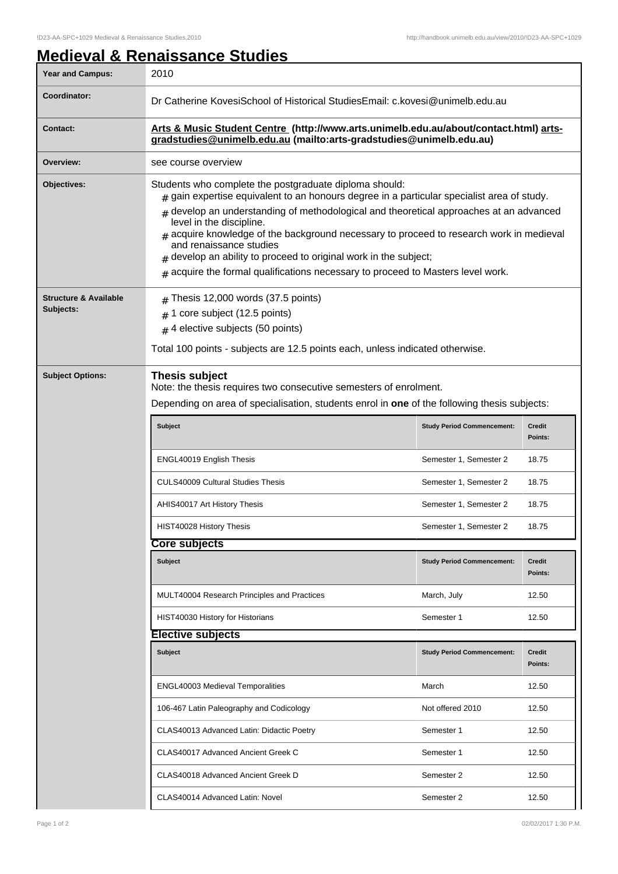## **Medieval & Renaissance Studies**

| <b>Year and Campus:</b>                       | 2010                                                                                                                                                                                                                                                                                                                                                                                                                                                                                                                                                                      |                                   |                   |  |
|-----------------------------------------------|---------------------------------------------------------------------------------------------------------------------------------------------------------------------------------------------------------------------------------------------------------------------------------------------------------------------------------------------------------------------------------------------------------------------------------------------------------------------------------------------------------------------------------------------------------------------------|-----------------------------------|-------------------|--|
| Coordinator:                                  | Dr Catherine KovesiSchool of Historical StudiesEmail: c.kovesi@unimelb.edu.au                                                                                                                                                                                                                                                                                                                                                                                                                                                                                             |                                   |                   |  |
| <b>Contact:</b>                               | Arts & Music Student Centre (http://www.arts.unimelb.edu.au/about/contact.html) arts-<br>gradstudies@unimelb.edu.au (mailto:arts-gradstudies@unimelb.edu.au)                                                                                                                                                                                                                                                                                                                                                                                                              |                                   |                   |  |
| Overview:                                     | see course overview                                                                                                                                                                                                                                                                                                                                                                                                                                                                                                                                                       |                                   |                   |  |
| <b>Objectives:</b>                            | Students who complete the postgraduate diploma should:<br>$_{\text{\#}}$ gain expertise equivalent to an honours degree in a particular specialist area of study.<br>develop an understanding of methodological and theoretical approaches at an advanced<br>$\pm$<br>level in the discipline.<br>acquire knowledge of the background necessary to proceed to research work in medieval<br>and renaissance studies<br>develop an ability to proceed to original work in the subject;<br>$#$ acquire the formal qualifications necessary to proceed to Masters level work. |                                   |                   |  |
| <b>Structure &amp; Available</b><br>Subjects: | Thesis 12,000 words (37.5 points)<br>#<br>1 core subject (12.5 points)<br>#<br>$#$ 4 elective subjects (50 points)<br>Total 100 points - subjects are 12.5 points each, unless indicated otherwise.                                                                                                                                                                                                                                                                                                                                                                       |                                   |                   |  |
| <b>Subject Options:</b>                       | <b>Thesis subject</b><br>Note: the thesis requires two consecutive semesters of enrolment.<br>Depending on area of specialisation, students enrol in one of the following thesis subjects:                                                                                                                                                                                                                                                                                                                                                                                |                                   |                   |  |
|                                               | <b>Subject</b>                                                                                                                                                                                                                                                                                                                                                                                                                                                                                                                                                            | <b>Study Period Commencement:</b> | Credit<br>Points: |  |
|                                               | ENGL40019 English Thesis                                                                                                                                                                                                                                                                                                                                                                                                                                                                                                                                                  | Semester 1, Semester 2            | 18.75             |  |
|                                               | <b>CULS40009 Cultural Studies Thesis</b>                                                                                                                                                                                                                                                                                                                                                                                                                                                                                                                                  | Semester 1, Semester 2            | 18.75             |  |
|                                               | AHIS40017 Art History Thesis                                                                                                                                                                                                                                                                                                                                                                                                                                                                                                                                              | Semester 1, Semester 2            | 18.75             |  |
|                                               | HIST40028 History Thesis                                                                                                                                                                                                                                                                                                                                                                                                                                                                                                                                                  | Semester 1, Semester 2            | 18.75             |  |
|                                               | <b>Core subjects</b>                                                                                                                                                                                                                                                                                                                                                                                                                                                                                                                                                      |                                   |                   |  |
|                                               | <b>Subject</b>                                                                                                                                                                                                                                                                                                                                                                                                                                                                                                                                                            | <b>Study Period Commencement:</b> | Credit<br>Points: |  |
|                                               | <b>MULT40004 Research Principles and Practices</b>                                                                                                                                                                                                                                                                                                                                                                                                                                                                                                                        | March, July                       | 12.50             |  |
|                                               | HIST40030 History for Historians                                                                                                                                                                                                                                                                                                                                                                                                                                                                                                                                          | Semester 1                        | 12.50             |  |
|                                               | <b>Elective subjects</b>                                                                                                                                                                                                                                                                                                                                                                                                                                                                                                                                                  |                                   |                   |  |
|                                               | Subject                                                                                                                                                                                                                                                                                                                                                                                                                                                                                                                                                                   | <b>Study Period Commencement:</b> | Credit<br>Points: |  |
|                                               | <b>ENGL40003 Medieval Temporalities</b>                                                                                                                                                                                                                                                                                                                                                                                                                                                                                                                                   | March                             | 12.50             |  |
|                                               | 106-467 Latin Paleography and Codicology                                                                                                                                                                                                                                                                                                                                                                                                                                                                                                                                  | Not offered 2010                  | 12.50             |  |
|                                               | CLAS40013 Advanced Latin: Didactic Poetry                                                                                                                                                                                                                                                                                                                                                                                                                                                                                                                                 | Semester 1                        | 12.50             |  |
|                                               | CLAS40017 Advanced Ancient Greek C                                                                                                                                                                                                                                                                                                                                                                                                                                                                                                                                        | Semester 1                        | 12.50             |  |
|                                               | CLAS40018 Advanced Ancient Greek D                                                                                                                                                                                                                                                                                                                                                                                                                                                                                                                                        | Semester 2                        | 12.50             |  |
|                                               | CLAS40014 Advanced Latin: Novel                                                                                                                                                                                                                                                                                                                                                                                                                                                                                                                                           | Semester 2                        | 12.50             |  |